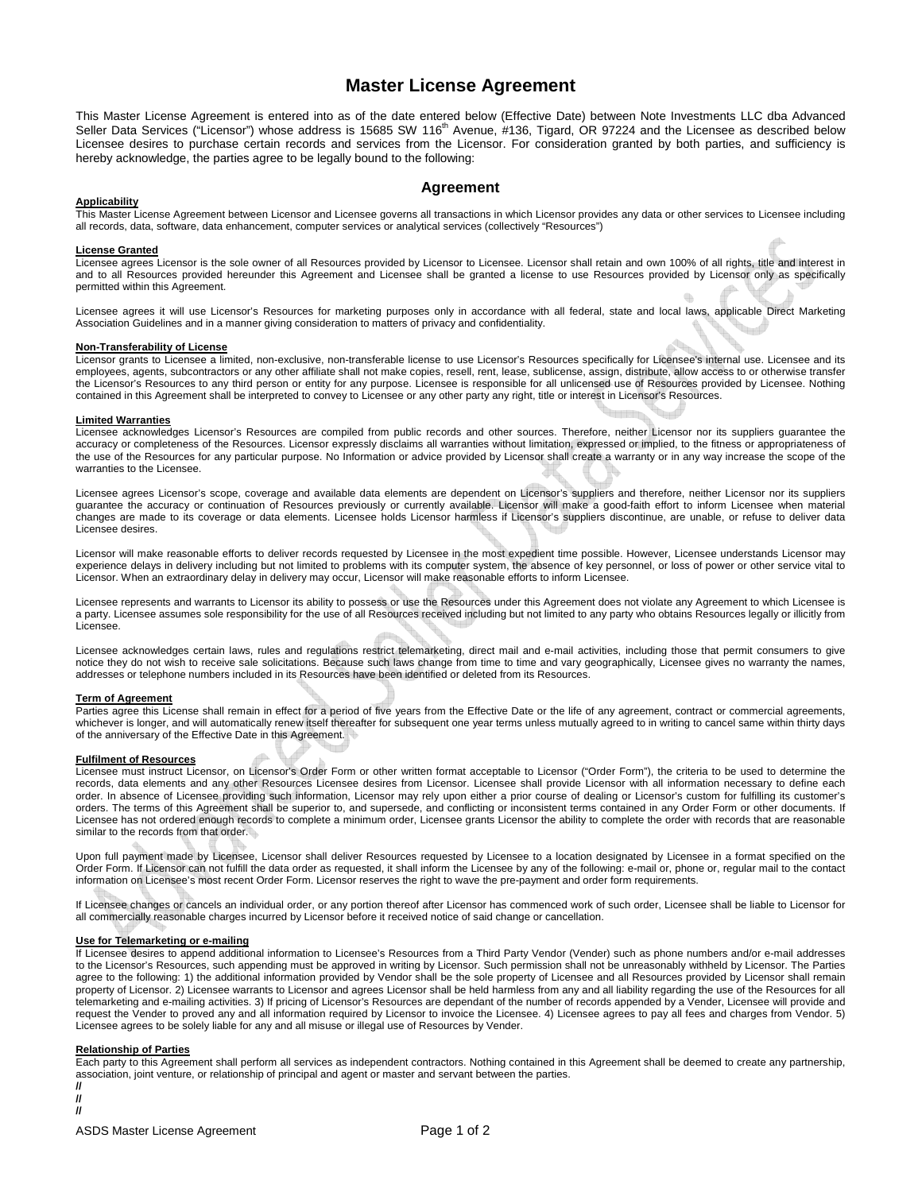# **Master License Agreement**

This Master License Agreement is entered into as of the date entered below (Effective Date) between Note Investments LLC dba Advanced Seller Data Services ("Licensor") whose address is 15685 SW 116<sup>th</sup> Avenue, #136, Tigard, OR 97224 and the Licensee as described below Licensee desires to purchase certain records and services from the Licensor. For consideration granted by both parties, and sufficiency is hereby acknowledge, the parties agree to be legally bound to the following:

# **Agreement**

## **Applicability**

This Master License Agreement between Licensor and Licensee governs all transactions in which Licensor provides any data or other services to Licensee including all records, data, software, data enhancement, computer services or analytical services (collectively "Resources")

## **License Granted**

Licensee agrees Licensor is the sole owner of all Resources provided by Licensor to Licensee. Licensor shall retain and own 100% of all rights, title and interest in and to all Resources provided hereunder this Agreement and Licensee shall be granted a license to use Resources provided by Licensor only as specifically permitted within this Agreement.

Licensee agrees it will use Licensor's Resources for marketing purposes only in accordance with all federal, state and local laws, applicable Direct Marketing Association Guidelines and in a manner giving consideration to matters of privacy and confidentiality.

## **Non-Transferability of License**

Licensor grants to Licensee a limited, non-exclusive, non-transferable license to use Licensor's Resources specifically for Licensee's internal use. Licensee and its employees, agents, subcontractors or any other affiliate shall not make copies, resell, rent, lease, sublicense, assign, distribute, allow access to or otherwise transfer the Licensor's Resources to any third person or entity for any purpose. Licensee is responsible for all unlicensed use of Resources provided by Licensee. Nothing contained in this Agreement shall be interpreted to convey to Licensee or any other party any right, title or interest in Licensor's Resources.

#### **Limited Warranties**

Licensee acknowledges Licensor's Resources are compiled from public records and other sources. Therefore, neither Licensor nor its suppliers guarantee the accuracy or completeness of the Resources. Licensor expressly disclaims all warranties without limitation, expressed or implied, to the fitness or appropriateness of the use of the Resources for any particular purpose. No Information or advice provided by Licensor shall create a warranty or in any way increase the scope of the warranties to the Licensee.

Licensee agrees Licensor's scope, coverage and available data elements are dependent on Licensor's suppliers and therefore, neither Licensor nor its suppliers guarantee the accuracy or continuation of Resources previously or currently available. Licensor will make a good-faith effort to inform Licensee when material changes are made to its coverage or data elements. Licensee holds Licensor harmless if Licensor's suppliers discontinue, are unable, or refuse to deliver data Licensee desires.

Licensor will make reasonable efforts to deliver records requested by Licensee in the most expedient time possible. However, Licensee understands Licensor may experience delays in delivery including but not limited to problems with its computer system, the absence of key personnel, or loss of power or other service vital to Licensor. When an extraordinary delay in delivery may occur, Licensor will make reasonable efforts to inform Licensee.

Licensee represents and warrants to Licensor its ability to possess or use the Resources under this Agreement does not violate any Agreement to which Licensee is a party. Licensee assumes sole responsibility for the use of all Resources received including but not limited to any party who obtains Resources legally or illicitly from Licensee.

Licensee acknowledges certain laws, rules and regulations restrict telemarketing, direct mail and e-mail activities, including those that permit consumers to give notice they do not wish to receive sale solicitations. Because such laws change from time to time and vary geographically, Licensee gives no warranty the names, addresses or telephone numbers included in its Resources have been identified or deleted from its Resources.

#### **Term of Agreement**

Parties agree this License shall remain in effect for a period of five years from the Effective Date or the life of any agreement, contract or commercial agreements, whichever is longer, and will automatically renew itself thereafter for subsequent one year terms unless mutually agreed to in writing to cancel same within thirty days of the anniversary of the Effective Date in this Agreement.

## **Fulfilment of Resources**

Licensee must instruct Licensor, on Licensor's Order Form or other written format acceptable to Licensor ("Order Form"), the criteria to be used to determine the records, data elements and any other Resources Licensee desires from Licensor. Licensee shall provide Licensor with all information necessary to define each order. In absence of Licensee providing such information, Licensor may rely upon either a prior course of dealing or Licensor's custom for fulfilling its customer's orders. The terms of this Agreement shall be superior to, and supersede, and conflicting or inconsistent terms contained in any Order Form or other documents. If Licensee has not ordered enough records to complete a minimum order, Licensee grants Licensor the ability to complete the order with records that are reasonable similar to the records from that order.

Upon full payment made by Licensee, Licensor shall deliver Resources requested by Licensee to a location designated by Licensee in a format specified on the Order Form. If Licensor can not fulfill the data order as requested, it shall inform the Licensee by any of the following: e-mail or, phone or, regular mail to the contact information on Licensee's most recent Order Form. Licensor reserves the right to wave the pre-payment and order form requirements.

If Licensee changes or cancels an individual order, or any portion thereof after Licensor has commenced work of such order, Licensee shall be liable to Licensor for all commercially reasonable charges incurred by Licensor before it received notice of said change or cancellation.

## **Use for Telemarketing or e-mailing**

If Licensee desires to append additional information to Licensee's Resources from a Third Party Vendor (Vender) such as phone numbers and/or e-mail addresses to the Licensor's Resources, such appending must be approved in writing by Licensor. Such permission shall not be unreasonably withheld by Licensor. The Parties agree to the following: 1) the additional information provided by Vendor shall be the sole property of Licensee and all Resources provided by Licensor shall remain property of Licensor. 2) Licensee warrants to Licensor and agrees Licensor shall be held harmless from any and all liability regarding the use of the Resources for all telemarketing and e-mailing activities. 3) If pricing of Licensor's Resources are dependant of the number of records appended by a Vender, Licensee will provide and request the Vender to proved any and all information required by Licensor to invoice the Licensee. 4) Licensee agrees to pay all fees and charges from Vendor. 5) Licensee agrees to be solely liable for any and all misuse or illegal use of Resources by Vender.

## **Relationship of Parties**

**// //** 

Each party to this Agreement shall perform all services as independent contractors. Nothing contained in this Agreement shall be deemed to create any partnership, association, joint venture, or relationship of principal and agent or master and servant between the parties. **//**